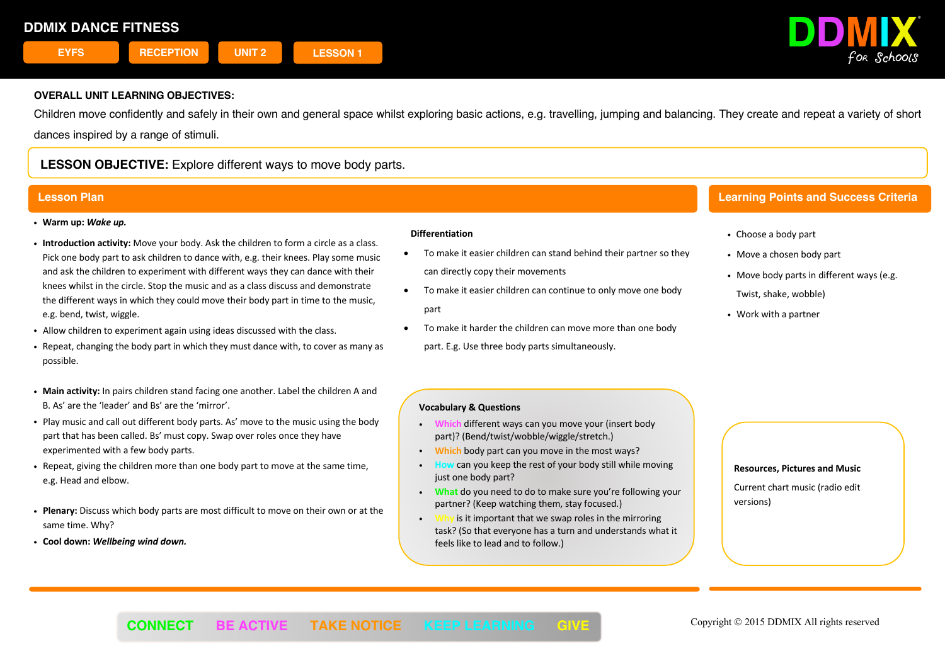

Children move confidently and safely in their own and general space whilst exploring basic actions, e.g. travelling, jumping and balancing. They create and repeat a variety of short dances inspired by a range of stimuli.

# **LESSON OBJECTIVE:** Explore different ways to move body parts.

- ! **Warm up:** *Wake up.*
- ! **Introduction activity:** Move your body. Ask the children to form a circle as a class. Pick one body part to ask children to dance with, e.g. their knees. Play some music and ask the children to experiment with different ways they can dance with their knees whilst in the circle. Stop the music and as a class discuss and demonstrate the different ways in which they could move their body part in time to the music, e.g. bend, twist, wiggle.
- ! Allow children to experiment again using ideas discussed with the class.
- ! Repeat, changing the body part in which they must dance with, to cover as many as possible.
- ! **Main activity:** In pairs children stand facing one another. Label the children A and B. As' are the 'leader' and Bs' are the 'mirror'.
- ! Play music and call out different body parts. As' move to the music using the body part that has been called. Bs' must copy. Swap over roles once they have experimented with a few body parts.
- ! Repeat, giving the children more than one body part to move at the same time, e.g. Head and elbow.
- ! **Plenary:** Discuss which body parts are most difficult to move on their own or at the same time. Why?
- ! **Cool down:** *Wellbeing wind down.*

### **Differentiation**

- To make it easier children can stand behind their partner so they can directly copy their movements
- To make it easier children can continue to only move one body part
- To make it harder the children can move more than one body part. E.g. Use three body parts simultaneously.

# **Lesson Plan Learning Points and Success Criteria**

- ! Choose a body part
- Move a chosen body part
- . Move body parts in different ways (e.g. Twist, shake, wobble)
- Work with a partner

### **Vocabulary & Questions**

- ! **Which** different ways can you move your (insert body part)? (Bend/twist/wobble/wiggle/stretch.)
- ! **Which** body part can you move in the most ways?
- can you keep the rest of your body still while moving just one body part?
- ! **What** do you need to do to make sure you're following your partner? (Keep watching them, stay focused.)
- is it important that we swap roles in the mirroring task? (So that everyone has a turn and understands what it feels like to lead and to follow.)

Ī

#### **Resources, Pictures and Music**

Current chart music (radio edit versions)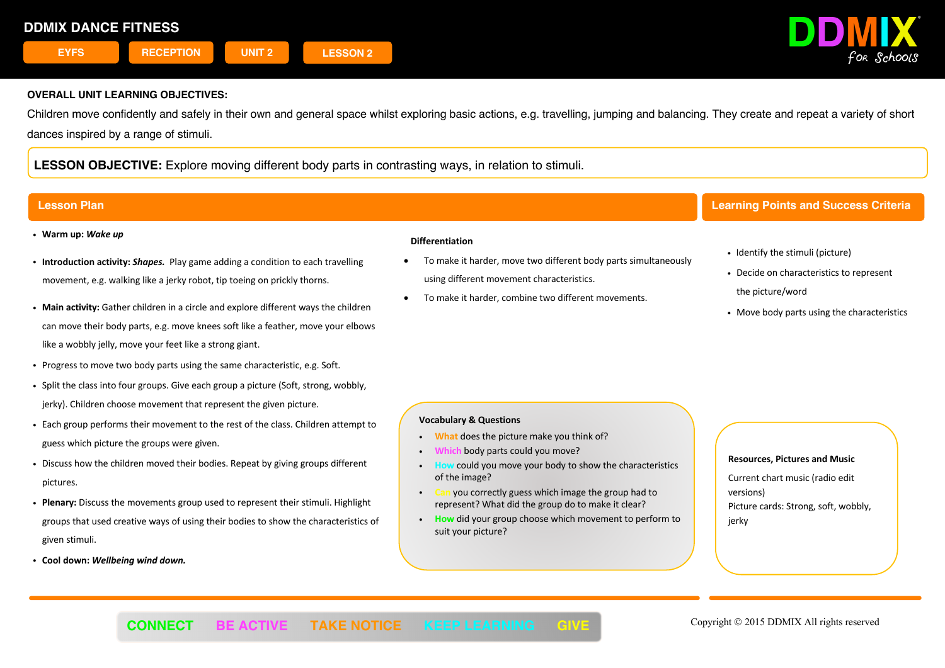

Children move confidently and safely in their own and general space whilst exploring basic actions, e.g. travelling, jumping and balancing. They create and repeat a variety of short dances inspired by a range of stimuli.

**LESSON OBJECTIVE:** Explore moving different body parts in contrasting ways, in relation to stimuli.

- ! **Warm up:** *Wake up*
- ! **Introduction activity:** *Shapes.* Play game adding a condition to each travelling movement, e.g. walking like a jerky robot, tip toeing on prickly thorns.
- ! **Main activity:** Gather children in a circle and explore different ways the children can move their body parts, e.g. move knees soft like a feather, move your elbows like a wobbly jelly, move your feet like a strong giant.
- . Progress to move two body parts using the same characteristic, e.g. Soft.
- ! Split the class into four groups. Give each group a picture (Soft, strong, wobbly, jerky). Children choose movement that represent the given picture.
- ! Each group performs their movement to the rest of the class. Children attempt to guess which picture the groups were given.
- ! Discuss how the children moved their bodies. Repeat by giving groups different pictures.
- ! **Plenary:** Discuss the movements group used to represent their stimuli. Highlight groups that used creative ways of using their bodies to show the characteristics of given stimuli.
- ! **Cool down:** *Wellbeing wind down.*

### **Differentiation**

- To make it harder, move two different body parts simultaneously using different movement characteristics.
- To make it harder, combine two different movements.

## **Lesson Plan Learning Points and Success Criteria**

- Identify the stimuli (picture)
- Decide on characteristics to represent
- the picture/word
- . Move body parts using the characteristics

### **Vocabulary & Questions**

- ! **What** does the picture make you think of?
- body parts could you move?
- could you move your body to show the characteristics of the image?
- ! **Can** you correctly guess which image the group had to represent? What did the group do to make it clear?
- ! **How** did your group choose which movement to perform to suit your picture?

l

#### **Resources, Pictures and Music**

Current chart music (radio edit versions)

Picture cards: Strong, soft, wobbly, ierky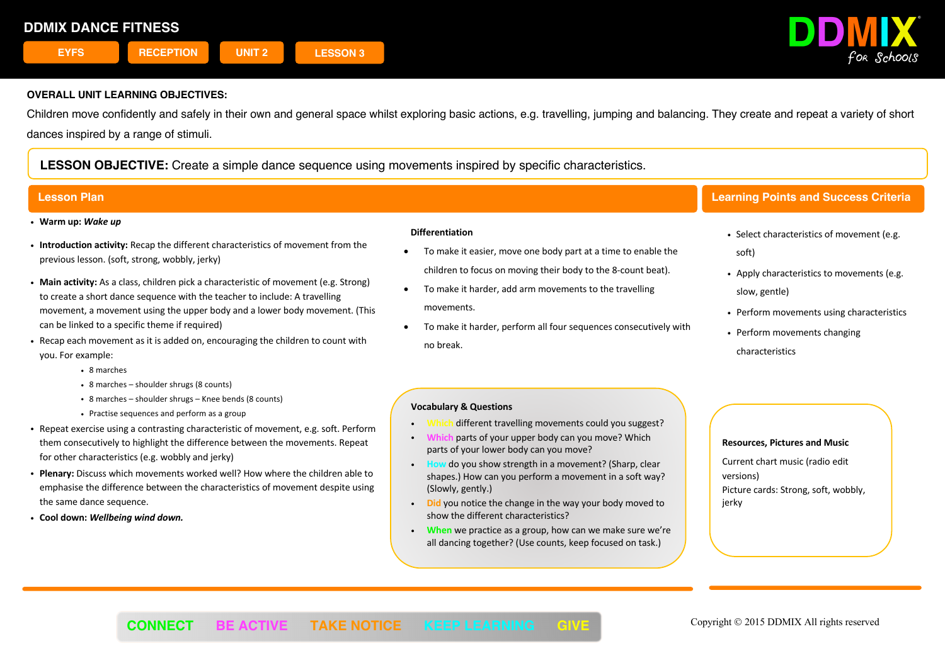

Children move confidently and safely in their own and general space whilst exploring basic actions, e.g. travelling, jumping and balancing. They create and repeat a variety of short dances inspired by a range of stimuli.

**LESSON OBJECTIVE:** Create a simple dance sequence using movements inspired by specific characteristics.

- ! **Warm up:** *Wake up*
- ! **Introduction activity:** Recap the different characteristics of movement from the previous lesson. (soft, strong, wobbly, jerky)
- ! **Main activity:** As a class, children pick a characteristic of movement (e.g. Strong) to create a short dance sequence with the teacher to include: A travelling movement, a movement using the upper body and a lower body movement. (This can be linked to a specific theme if required)
- ! Recap each movement as it is added on, encouraging the children to count with you. For example:
	- 8 marches
	- 8 marches shoulder shrugs (8 counts)
	- ! 8 marches shoulder shrugs Knee bends (8 counts)
	- Practise sequences and perform as a group
- ! Repeat exercise using a contrasting characteristic of movement, e.g. soft. Perform them consecutively to highlight the difference between the movements. Repeat for other characteristics (e.g. wobbly and jerky)
- ! **Plenary:** Discuss which movements worked well? How where the children able to emphasise the difference between the characteristics of movement despite using the same dance sequence.
- ! **Cool down:** *Wellbeing wind down.*

#### **Differentiation**

- To make it easier, move one body part at a time to enable the children to focus on moving their body to the 8-count beat).
- To make it harder, add arm movements to the travelling movements.
- To make it harder, perform all four sequences consecutively with no break.

# **Lesson Plan Learning Points and Success Criteria**

- . Select characteristics of movement (e.g. soft)
- . Apply characteristics to movements (e.g. slow, gentle)
- Perform movements using characteristics
- Perform movements changing characteristics

### **Vocabulary & Questions**

- different travelling movements could you suggest?
- parts of your upper body can you move? Which parts of your lower body can you move?
- ! **How** do you show strength in a movement? (Sharp, clear shapes.) How can you perform a movement in a soft way? (Slowly, gently.)
- ! **Did** you notice the change in the way your body moved to show the different characteristics?
- ! **When** we practice as a group, how can we make sure we're all dancing together? (Use counts, keep focused on task.)

Ī

### **Resources, Pictures and Music**

Current chart music (radio edit versions) Picture cards: Strong, soft, wobbly, jerky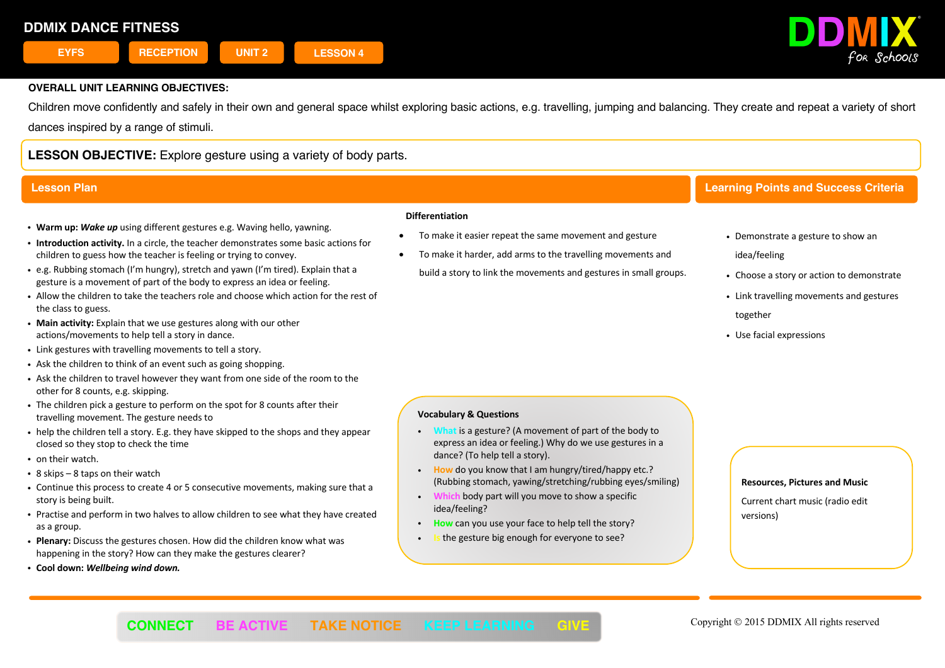

Children move confidently and safely in their own and general space whilst exploring basic actions, e.g. travelling, jumping and balancing. They create and repeat a variety of short dances inspired by a range of stimuli.

**LESSON OBJECTIVE:** Explore gesture using a variety of body parts.

- ! **Warm up:** *Wake up* using different gestures e.g. Waving hello, yawning.
- ! **Introduction activity.** In a circle, the teacher demonstrates some basic actions for children to guess how the teacher is feeling or trying to convey.
- ! e.g. Rubbing stomach (I'm hungry), stretch and yawn (I'm tired). Explain that a gesture is a movement of part of the body to express an idea or feeling.
- ! Allow the children to take the teachers role and choose which action for the rest of the class to guess.
- ! **Main activity:** Explain that we use gestures along with our other actions/movements to help tell a story in dance.
- ! Link gestures with travelling movements to tell a story.
- . Ask the children to think of an event such as going shopping.
- ! Ask the children to travel however they want from one side of the room to the other for 8 counts, e.g. skipping.
- The children pick a gesture to perform on the spot for 8 counts after their travelling movement. The gesture needs to
- ! help the children tell a story. E.g. they have skipped to the shops and they appear closed so they stop to check the time
- on their watch.
- $\cdot$  8 skips 8 taps on their watch
- ! Continue this process to create 4 or 5 consecutive movements, making sure that a story is being built.
- ! Practise and perform in two halves to allow children to see what they have created as a group.
- ! **Plenary:** Discuss the gestures chosen. How did the children know what was happening in the story? How can they make the gestures clearer?
- ! **Cool down:** *Wellbeing wind down.*

### **Differentiation**

- To make it easier repeat the same movement and gesture
- To make it harder, add arms to the travelling movements and build a story to link the movements and gestures in small groups.

# **Lesson Plan Learning Points and Success Criteria**

- Demonstrate a gesture to show an idea/feeling
- Choose a story or action to demonstrate
- Link travelling movements and gestures together
- Use facial expressions

## **Vocabulary & Questions**

- ! **What** is a gesture? (A movement of part of the body to express an idea or feeling.) Why do we use gestures in a dance? (To help tell a story).
- ! **How** do you know that I am hungry/tired/happy etc.? (Rubbing stomach, yawing/stretching/rubbing eyes/smiling)

l

- **body part will you move to show a specific** idea/feeling?
- ! **How** can you use your face to help tell the story?
- the gesture big enough for everyone to see?

#### **Resources, Pictures and Music**

Current chart music (radio edit versions)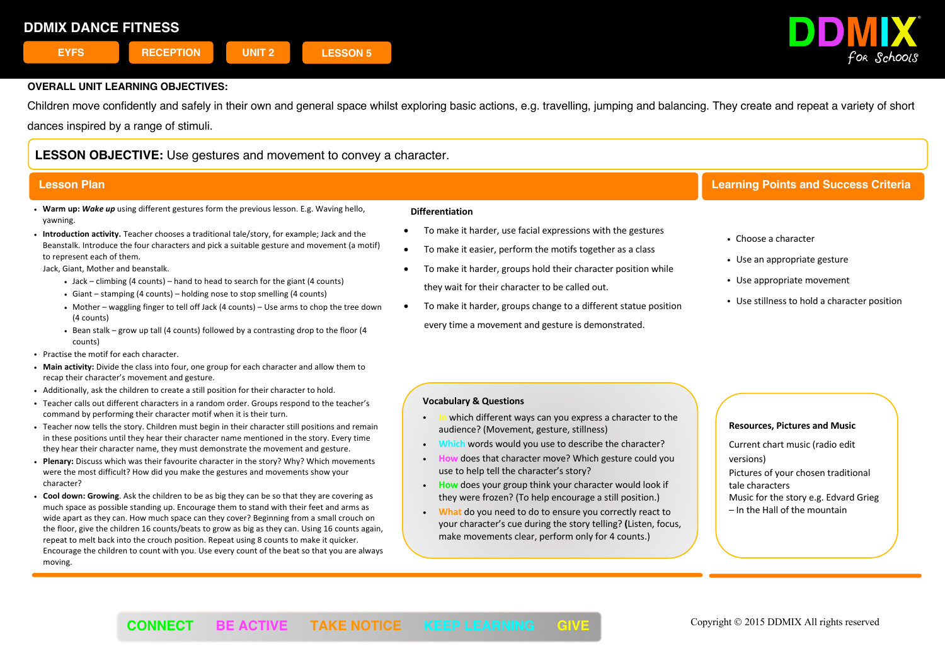

Children move confidently and safely in their own and general space whilst exploring basic actions, e.g. travelling, jumping and balancing. They create and repeat a variety of short dances inspired by a range of stimuli.

# **LESSON OBJECTIVE:** Use gestures and movement to convey a character.

- ! **Warm up:** *Wake up* using different gestures form the previous lesson. E.g. Waving hello, yawning.
- ! **Introduction activity.** Teacher chooses a traditional tale/story, for example; Jack and the Beanstalk. Introduce the four characters and pick a suitable gesture and movement (a motif) to represent each of them.

Jack, Giant, Mother and beanstalk.

- $\bullet$  Jack climbing (4 counts) hand to head to search for the giant (4 counts)
- $\cdot$  Giant stamping (4 counts) holding nose to stop smelling (4 counts)
- ! Mother waggling finger to tell off Jack (4 counts) Use arms to chop the tree down (4 counts)
- . Bean stalk grow up tall (4 counts) followed by a contrasting drop to the floor (4 counts)
- Practise the motif for each character.
- ! **Main activity:** Divide the class into four, one group for each character and allow them to recap their character's movement and gesture.
- ! Additionally, ask the children to create a still position for their character to hold.
- ! Teacher calls out different characters in a random order. Groups respond to the teacher's command by performing their character motif when it is their turn.
- . Teacher now tells the story. Children must begin in their character still positions and remain in these positions until they hear their character name mentioned in the story. Every time they hear their character name, they must demonstrate the movement and gesture.
- ! **Plenary:** Discuss which was their favourite character in the story? Why? Which movements were the most difficult? How did you make the gestures and movements show your character?
- ! **Cool down: Growing**. Ask the children to be as big they can be so that they are covering as much space as possible standing up. Encourage them to stand with their feet and arms as wide apart as they can. How much space can they cover? Beginning from a small crouch on the floor, give the children 16 counts/beats to grow as big as they can. Using 16 counts again, repeat to melt back into the crouch position. Repeat using 8 counts to make it quicker. Encourage the children to count with you. Use every count of the beat so that you are always moving.

#### **Differentiation**

- To make it harder, use facial expressions with the gestures
- To make it easier, perform the motifs together as a class
- To make it harder, groups hold their character position while they wait for their character to be called out.
- To make it harder, groups change to a different statue position every time a movement and gesture is demonstrated.

# **Lesson Plan Learning Points and Success Criteria**

- ! Choose a character
- Use an appropriate gesture
- Use appropriate movement
- Use stillness to hold a character position

### **Vocabulary & Questions**

- ! **In** which different ways can you express a character to the audience? (Movement, gesture, stillness)
- ! **Which** words would you use to describe the character?
- ! **How** does that character move? Which gesture could you use to help tell the character's story?
- ! **How** does your group think your character would look if they were frozen? (To help encourage a still position.)
- ! **What** do you need to do to ensure you correctly react to your character's cue during the story telling? **(**Listen, focus, make movements clear, perform only for 4 counts.)

### **Resources, Pictures and Music**

Current chart music (radio edit versions) Pictures of your chosen traditional tale characters Music for the story e.g. Edvard Grieg – In the Hall of the mountain